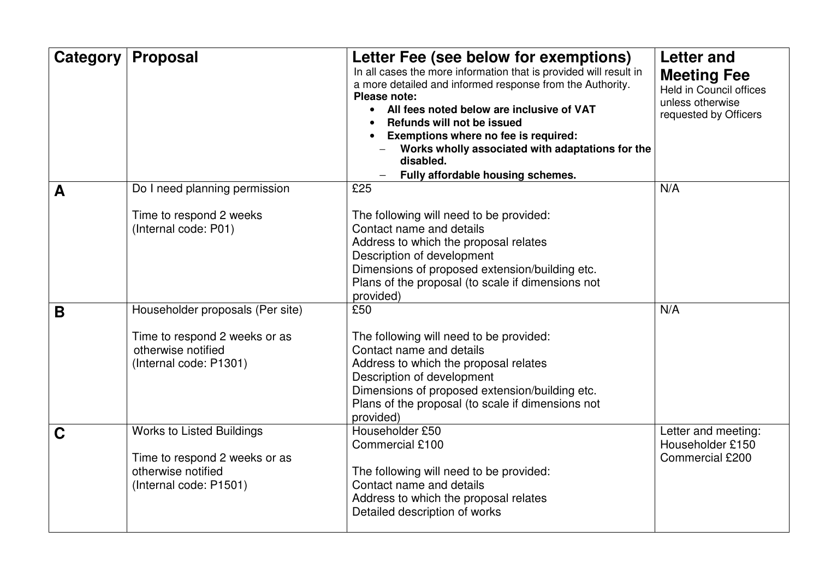| Category | <b>Proposal</b>                                                                                                   | Letter Fee (see below for exemptions)<br>In all cases the more information that is provided will result in<br>a more detailed and informed response from the Authority.<br>Please note:<br>All fees noted below are inclusive of VAT<br>$\bullet$<br>Refunds will not be issued<br>Exemptions where no fee is required:<br>Works wholly associated with adaptations for the<br>disabled. | <b>Letter and</b><br><b>Meeting Fee</b><br><b>Held in Council offices</b><br>unless otherwise<br>requested by Officers |
|----------|-------------------------------------------------------------------------------------------------------------------|------------------------------------------------------------------------------------------------------------------------------------------------------------------------------------------------------------------------------------------------------------------------------------------------------------------------------------------------------------------------------------------|------------------------------------------------------------------------------------------------------------------------|
| A        | Do I need planning permission<br>Time to respond 2 weeks<br>(Internal code: P01)                                  | Fully affordable housing schemes.<br>£25<br>The following will need to be provided:<br>Contact name and details<br>Address to which the proposal relates<br>Description of development<br>Dimensions of proposed extension/building etc.<br>Plans of the proposal (to scale if dimensions not<br>provided)                                                                               | N/A                                                                                                                    |
| B        | Householder proposals (Per site)<br>Time to respond 2 weeks or as<br>otherwise notified<br>(Internal code: P1301) | £50<br>The following will need to be provided:<br>Contact name and details<br>Address to which the proposal relates<br>Description of development<br>Dimensions of proposed extension/building etc.<br>Plans of the proposal (to scale if dimensions not<br>provided)                                                                                                                    | N/A                                                                                                                    |
| C        | <b>Works to Listed Buildings</b><br>Time to respond 2 weeks or as<br>otherwise notified<br>(Internal code: P1501) | Householder £50<br>Commercial £100<br>The following will need to be provided:<br>Contact name and details<br>Address to which the proposal relates<br>Detailed description of works                                                                                                                                                                                                      | Letter and meeting:<br>Householder £150<br>Commercial £200                                                             |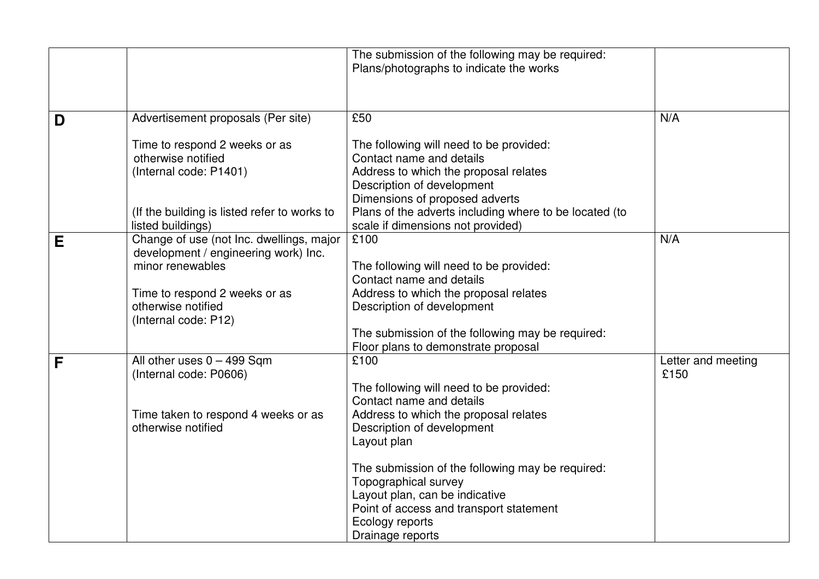|   |                                                                                                      | The submission of the following may be required:<br>Plans/photographs to indicate the works                                                                                  |                            |
|---|------------------------------------------------------------------------------------------------------|------------------------------------------------------------------------------------------------------------------------------------------------------------------------------|----------------------------|
|   |                                                                                                      |                                                                                                                                                                              |                            |
| D | Advertisement proposals (Per site)                                                                   | £50                                                                                                                                                                          | N/A                        |
|   | Time to respond 2 weeks or as<br>otherwise notified<br>(Internal code: P1401)                        | The following will need to be provided:<br>Contact name and details<br>Address to which the proposal relates<br>Description of development<br>Dimensions of proposed adverts |                            |
|   | (If the building is listed refer to works to<br>listed buildings)                                    | Plans of the adverts including where to be located (to<br>scale if dimensions not provided)                                                                                  |                            |
| Е | Change of use (not Inc. dwellings, major<br>development / engineering work) Inc.<br>minor renewables | £100<br>The following will need to be provided:<br>Contact name and details                                                                                                  | N/A                        |
|   | Time to respond 2 weeks or as<br>otherwise notified<br>(Internal code: P12)                          | Address to which the proposal relates<br>Description of development<br>The submission of the following may be required:                                                      |                            |
|   |                                                                                                      | Floor plans to demonstrate proposal                                                                                                                                          |                            |
| F | All other uses $0 - 499$ Sqm<br>(Internal code: P0606)                                               | £100<br>The following will need to be provided:<br>Contact name and details                                                                                                  | Letter and meeting<br>£150 |
|   | Time taken to respond 4 weeks or as<br>otherwise notified                                            | Address to which the proposal relates<br>Description of development<br>Layout plan                                                                                           |                            |
|   |                                                                                                      | The submission of the following may be required:<br>Topographical survey<br>Layout plan, can be indicative<br>Point of access and transport statement                        |                            |
|   |                                                                                                      | Ecology reports<br>Drainage reports                                                                                                                                          |                            |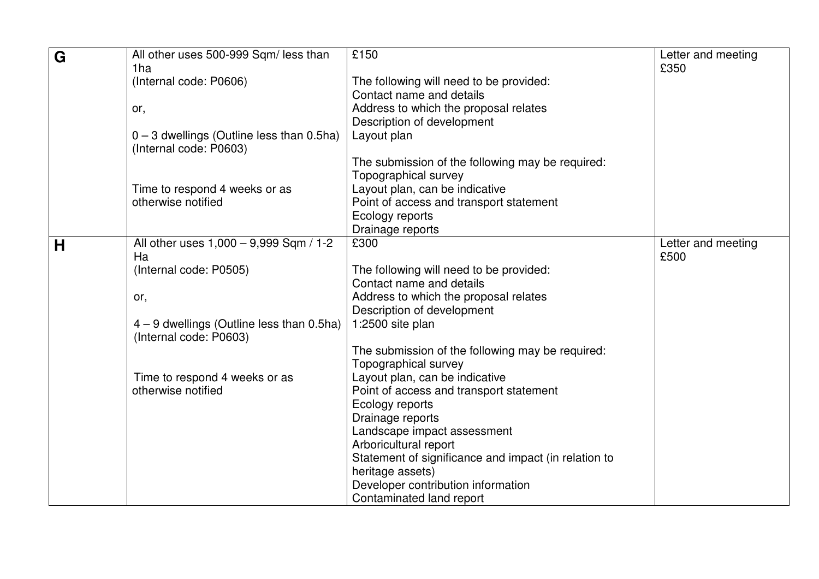| G | All other uses 500-999 Sqm/ less than                                 | £150                                                 | Letter and meeting |
|---|-----------------------------------------------------------------------|------------------------------------------------------|--------------------|
|   | 1ha                                                                   |                                                      | £350               |
|   | (Internal code: P0606)                                                | The following will need to be provided:              |                    |
|   |                                                                       | Contact name and details                             |                    |
|   | or,                                                                   | Address to which the proposal relates                |                    |
|   |                                                                       | Description of development                           |                    |
|   | $0 - 3$ dwellings (Outline less than 0.5ha)                           | Layout plan                                          |                    |
|   | (Internal code: P0603)                                                |                                                      |                    |
|   |                                                                       | The submission of the following may be required:     |                    |
|   |                                                                       | Topographical survey                                 |                    |
|   | Time to respond 4 weeks or as                                         | Layout plan, can be indicative                       |                    |
|   | otherwise notified                                                    | Point of access and transport statement              |                    |
|   |                                                                       | Ecology reports                                      |                    |
|   |                                                                       | Drainage reports                                     |                    |
| H | All other uses 1,000 - 9,999 Sqm / 1-2                                | £300                                                 | Letter and meeting |
|   | Ha                                                                    |                                                      | £500               |
|   | (Internal code: P0505)                                                | The following will need to be provided:              |                    |
|   |                                                                       | Contact name and details                             |                    |
|   | or,                                                                   | Address to which the proposal relates                |                    |
|   |                                                                       | Description of development                           |                    |
|   | $4 - 9$ dwellings (Outline less than 0.5ha)<br>(Internal code: P0603) | 1:2500 site plan                                     |                    |
|   |                                                                       | The submission of the following may be required:     |                    |
|   |                                                                       | Topographical survey                                 |                    |
|   | Time to respond 4 weeks or as                                         | Layout plan, can be indicative                       |                    |
|   | otherwise notified                                                    | Point of access and transport statement              |                    |
|   |                                                                       | Ecology reports                                      |                    |
|   |                                                                       | Drainage reports                                     |                    |
|   |                                                                       | Landscape impact assessment                          |                    |
|   |                                                                       | Arboricultural report                                |                    |
|   |                                                                       | Statement of significance and impact (in relation to |                    |
|   |                                                                       | heritage assets)                                     |                    |
|   |                                                                       | Developer contribution information                   |                    |
|   |                                                                       | Contaminated land report                             |                    |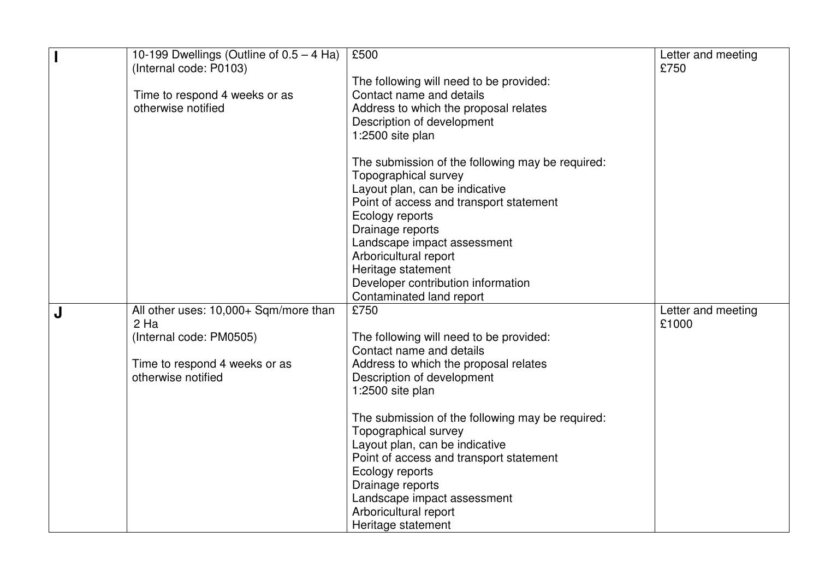|   | 10-199 Dwellings (Outline of $0.5 - 4$ Ha) | £500                                             | Letter and meeting |
|---|--------------------------------------------|--------------------------------------------------|--------------------|
|   | (Internal code: P0103)                     |                                                  | £750               |
|   |                                            | The following will need to be provided:          |                    |
|   | Time to respond 4 weeks or as              | Contact name and details                         |                    |
|   | otherwise notified                         | Address to which the proposal relates            |                    |
|   |                                            | Description of development                       |                    |
|   |                                            | 1:2500 site plan                                 |                    |
|   |                                            |                                                  |                    |
|   |                                            | The submission of the following may be required: |                    |
|   |                                            | Topographical survey                             |                    |
|   |                                            | Layout plan, can be indicative                   |                    |
|   |                                            | Point of access and transport statement          |                    |
|   |                                            | Ecology reports                                  |                    |
|   |                                            | Drainage reports                                 |                    |
|   |                                            | Landscape impact assessment                      |                    |
|   |                                            | Arboricultural report                            |                    |
|   |                                            | Heritage statement                               |                    |
|   |                                            | Developer contribution information               |                    |
|   |                                            | Contaminated land report                         |                    |
| J | All other uses: 10,000+ Sqm/more than      | £750                                             | Letter and meeting |
|   | 2 Ha                                       |                                                  | £1000              |
|   | (Internal code: PM0505)                    | The following will need to be provided:          |                    |
|   |                                            | Contact name and details                         |                    |
|   | Time to respond 4 weeks or as              | Address to which the proposal relates            |                    |
|   | otherwise notified                         | Description of development                       |                    |
|   |                                            | 1:2500 site plan                                 |                    |
|   |                                            | The submission of the following may be required: |                    |
|   |                                            | Topographical survey                             |                    |
|   |                                            | Layout plan, can be indicative                   |                    |
|   |                                            | Point of access and transport statement          |                    |
|   |                                            | Ecology reports                                  |                    |
|   |                                            | Drainage reports                                 |                    |
|   |                                            |                                                  |                    |
|   |                                            | Landscape impact assessment                      |                    |
|   |                                            | Arboricultural report                            |                    |
|   |                                            | Heritage statement                               |                    |